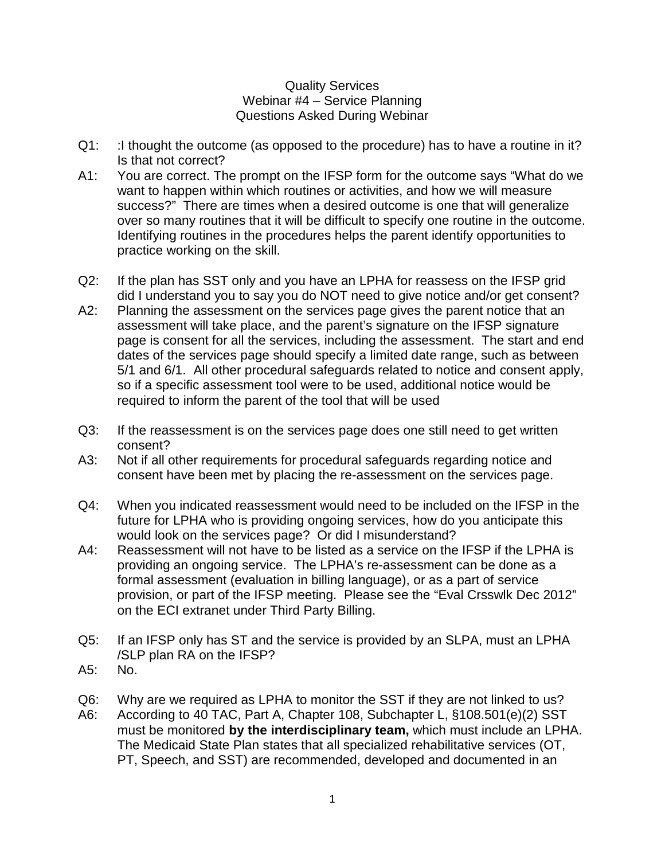## Quality Services Webinar #4 – Service Planning Questions Asked During Webinar

- Q1: : I thought the outcome (as opposed to the procedure) has to have a routine in it? Is that not correct?
- A1: You are correct. The prompt on the IFSP form for the outcome says "What do we want to happen within which routines or activities, and how we will measure success?" There are times when a desired outcome is one that will generalize over so many routines that it will be difficult to specify one routine in the outcome. Identifying routines in the procedures helps the parent identify opportunities to practice working on the skill.
- Q2: If the plan has SST only and you have an LPHA for reassess on the IFSP grid did I understand you to say you do NOT need to give notice and/or get consent?
- A2: Planning the assessment on the services page gives the parent notice that an assessment will take place, and the parent's signature on the IFSP signature page is consent for all the services, including the assessment. The start and end dates of the services page should specify a limited date range, such as between 5/1 and 6/1. All other procedural safeguards related to notice and consent apply, so if a specific assessment tool were to be used, additional notice would be required to inform the parent of the tool that will be used
- Q3: If the reassessment is on the services page does one still need to get written consent?
- A3: Not if all other requirements for procedural safeguards regarding notice and consent have been met by placing the re-assessment on the services page.
- Q4: When you indicated reassessment would need to be included on the IFSP in the future for LPHA who is providing ongoing services, how do you anticipate this would look on the services page? Or did I misunderstand?
- A4: Reassessment will not have to be listed as a service on the IFSP if the LPHA is providing an ongoing service. The LPHA's re-assessment can be done as a formal assessment (evaluation in billing language), or as a part of service provision, or part of the IFSP meeting. Please see the "Eval Crsswlk Dec 2012" on the ECI extranet under Third Party Billing.
- Q5: If an IFSP only has ST and the service is provided by an SLPA, must an LPHA /SLP plan RA on the IFSP?
- A5: No.
- Q6: Why are we required as LPHA to monitor the SST if they are not linked to us?
- A6: According to 40 TAC, Part A, Chapter 108, Subchapter L, §108.501(e)(2) SST must be monitored **by the interdisciplinary team,** which must include an LPHA. The Medicaid State Plan states that all specialized rehabilitative services (OT, PT, Speech, and SST) are recommended, developed and documented in an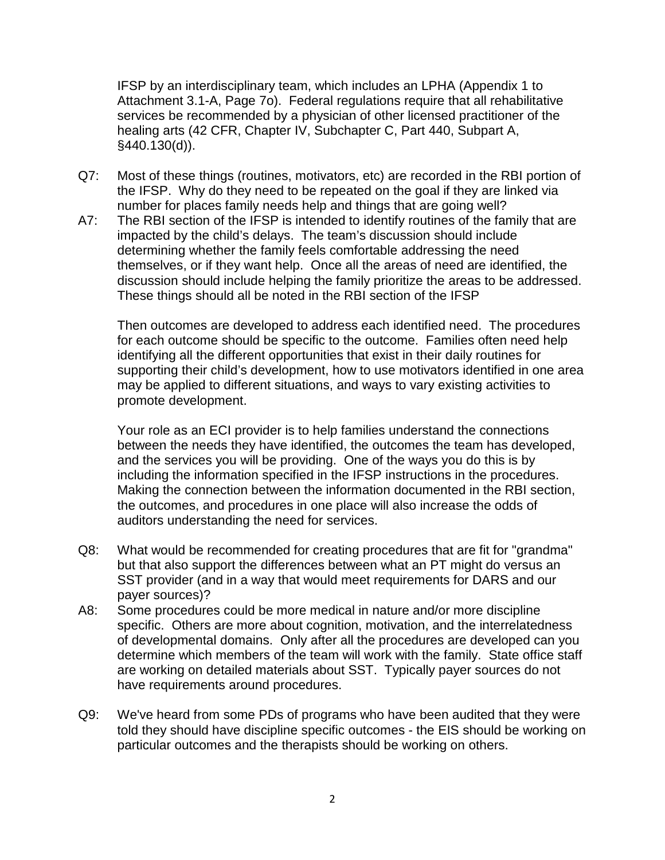IFSP by an interdisciplinary team, which includes an LPHA (Appendix 1 to Attachment 3.1-A, Page 7o). Federal regulations require that all rehabilitative services be recommended by a physician of other licensed practitioner of the healing arts (42 CFR, Chapter IV, Subchapter C, Part 440, Subpart A, §440.130(d)).

- Q7: Most of these things (routines, motivators, etc) are recorded in the RBI portion of the IFSP. Why do they need to be repeated on the goal if they are linked via number for places family needs help and things that are going well?
- A7: The RBI section of the IFSP is intended to identify routines of the family that are impacted by the child's delays. The team's discussion should include determining whether the family feels comfortable addressing the need themselves, or if they want help. Once all the areas of need are identified, the discussion should include helping the family prioritize the areas to be addressed. These things should all be noted in the RBI section of the IFSP

Then outcomes are developed to address each identified need. The procedures for each outcome should be specific to the outcome. Families often need help identifying all the different opportunities that exist in their daily routines for supporting their child's development, how to use motivators identified in one area may be applied to different situations, and ways to vary existing activities to promote development.

Your role as an ECI provider is to help families understand the connections between the needs they have identified, the outcomes the team has developed, and the services you will be providing. One of the ways you do this is by including the information specified in the IFSP instructions in the procedures. Making the connection between the information documented in the RBI section, the outcomes, and procedures in one place will also increase the odds of auditors understanding the need for services.

- Q8: What would be recommended for creating procedures that are fit for "grandma" but that also support the differences between what an PT might do versus an SST provider (and in a way that would meet requirements for DARS and our payer sources)?
- A8: Some procedures could be more medical in nature and/or more discipline specific. Others are more about cognition, motivation, and the interrelatedness of developmental domains. Only after all the procedures are developed can you determine which members of the team will work with the family. State office staff are working on detailed materials about SST. Typically payer sources do not have requirements around procedures.
- Q9: We've heard from some PDs of programs who have been audited that they were told they should have discipline specific outcomes - the EIS should be working on particular outcomes and the therapists should be working on others.